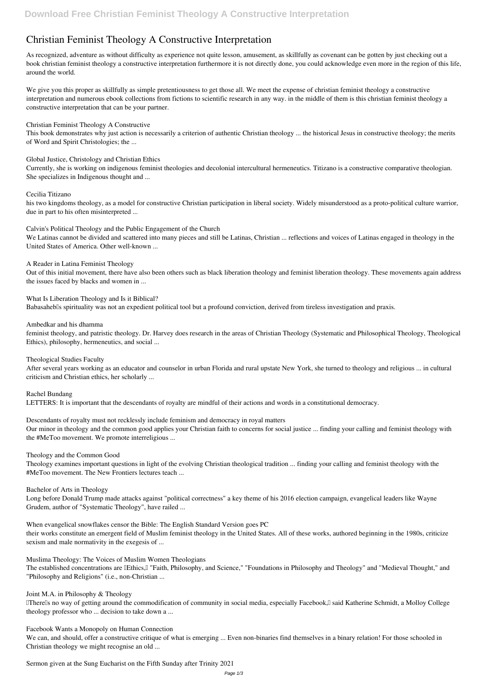# **Christian Feminist Theology A Constructive Interpretation**

As recognized, adventure as without difficulty as experience not quite lesson, amusement, as skillfully as covenant can be gotten by just checking out a book **christian feminist theology a constructive interpretation** furthermore it is not directly done, you could acknowledge even more in the region of this life, around the world.

We give you this proper as skillfully as simple pretentiousness to get those all. We meet the expense of christian feminist theology a constructive interpretation and numerous ebook collections from fictions to scientific research in any way. in the middle of them is this christian feminist theology a constructive interpretation that can be your partner.

*Christian Feminist Theology A Constructive*

This book demonstrates why just action is necessarily a criterion of authentic Christian theology ... the historical Jesus in constructive theology; the merits of Word and Spirit Christologies; the ...

*What Is Liberation Theology and Is it Biblical?* Babasaheb<sup>[]</sup>s spirituality was not an expedient political tool but a profound conviction, derived from tireless investigation and praxis.

*Global Justice, Christology and Christian Ethics*

Currently, she is working on indigenous feminist theologies and decolonial intercultural hermeneutics. Titizano is a constructive comparative theologian. She specializes in Indigenous thought and ...

#### *Cecilia Titizano*

his two kingdoms theology, as a model for constructive Christian participation in liberal society. Widely misunderstood as a proto-political culture warrior, due in part to his often misinterpreted ...

*Calvin's Political Theology and the Public Engagement of the Church*

We Latinas cannot be divided and scattered into many pieces and still be Latinas, Christian ... reflections and voices of Latinas engaged in theology in the United States of America. Other well-known ...

*A Reader in Latina Feminist Theology*

Out of this initial movement, there have also been others such as black liberation theology and feminist liberation theology. These movements again address the issues faced by blacks and women in ...

Therells no way of getting around the commodification of community in social media, especially Facebook, I said Katherine Schmidt, a Molloy College theology professor who ... decision to take down a ...

#### *Ambedkar and his dhamma*

We can, and should, offer a constructive critique of what is emerging ... Even non-binaries find themselves in a binary relation! For those schooled in Christian theology we might recognise an old ...

feminist theology, and patristic theology. Dr. Harvey does research in the areas of Christian Theology (Systematic and Philosophical Theology, Theological Ethics), philosophy, hermeneutics, and social ...

#### *Theological Studies Faculty*

After several years working as an educator and counselor in urban Florida and rural upstate New York, she turned to theology and religious ... in cultural criticism and Christian ethics, her scholarly ...

*Rachel Bundang*

LETTERS: It is important that the descendants of royalty are mindful of their actions and words in a constitutional democracy.

#### *Descendants of royalty must not recklessly include feminism and democracy in royal matters*

Our minor in theology and the common good applies your Christian faith to concerns for social justice ... finding your calling and feminist theology with the #MeToo movement. We promote interreligious ...

#### *Theology and the Common Good*

Theology examines important questions in light of the evolving Christian theological tradition ... finding your calling and feminist theology with the #MeToo movement. The New Frontiers lectures teach ...

### *Bachelor of Arts in Theology*

Long before Donald Trump made attacks against "political correctness" a key theme of his 2016 election campaign, evangelical leaders like Wayne Grudem, author of "Systematic Theology", have railed ...

*When evangelical snowflakes censor the Bible: The English Standard Version goes PC* their works constitute an emergent field of Muslim feminist theology in the United States. All of these works, authored beginning in the 1980s, criticize sexism and male normativity in the exegesis of ...

*Muslima Theology: The Voices of Muslim Women Theologians* The established concentrations are LEthics, L "Faith, Philosophy, and Science," "Foundations in Philosophy and Theology" and "Medieval Thought," and "Philosophy and Religions" (i.e., non-Christian ...

*Joint M.A. in Philosophy & Theology*

*Facebook Wants a Monopoly on Human Connection*

*Sermon given at the Sung Eucharist on the Fifth Sunday after Trinity 2021*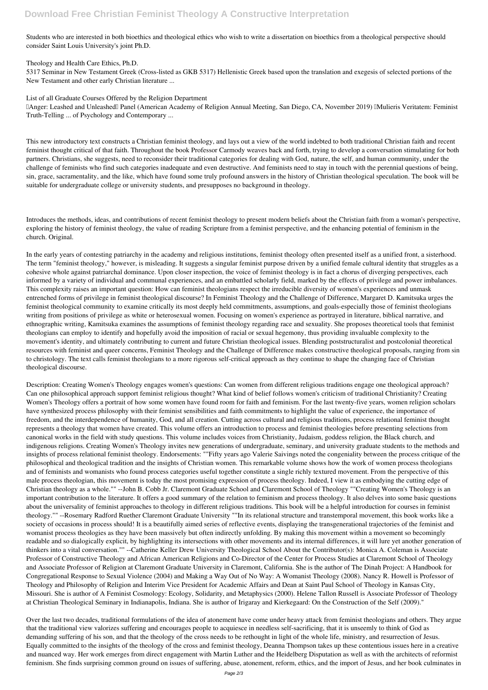Students who are interested in both bioethics and theological ethics who wish to write a dissertation on bioethics from a theological perspective should consider Saint Louis University's joint Ph.D.

*Theology and Health Care Ethics, Ph.D.* 5317 Seminar in New Testament Greek (Cross-listed as GKB 5317) Hellenistic Greek based upon the translation and exegesis of selected portions of the New Testament and other early Christian literature ...

*List of all Graduate Courses Offered by the Religion Department*

"Anger: Leashed and Unleashed" Panel (American Academy of Religion Annual Meeting, San Diego, CA, November 2019) "Mulieris Veritatem: Feminist Truth-Telling ... of Psychology and Contemporary ...

This new introductory text constructs a Christian feminist theology, and lays out a view of the world indebted to both traditional Christian faith and recent feminist thought critical of that faith. Throughout the book Professor Carmody weaves back and forth, trying to develop a conversation stimulating for both partners. Christians, she suggests, need to reconsider their traditional categories for dealing with God, nature, the self, and human community, under the challenge of feminists who find such categories inadequate and even destructive. And feminists need to stay in touch with the perennial questions of being, sin, grace, sacramentality, and the like, which have found some truly profound answers in the history of Christian theological speculation. The book will be suitable for undergraduate college or university students, and presupposes no background in theology.

Introduces the methods, ideas, and contributions of recent feminist theology to present modern beliefs about the Christian faith from a woman's perspective, exploring the history of feminist theology, the value of reading Scripture from a feminist perspective, and the enhancing potential of feminism in the church. Original.

In the early years of contesting patriarchy in the academy and religious institutions, feminist theology often presented itself as a unified front, a sisterhood. The term "feminist theology," however, is misleading. It suggests a singular feminist purpose driven by a unified female cultural identity that struggles as a cohesive whole against patriarchal dominance. Upon closer inspection, the voice of feminist theology is in fact a chorus of diverging perspectives, each informed by a variety of individual and communal experiences, and an embattled scholarly field, marked by the effects of privilege and power imbalances. This complexity raises an important question: How can feminist theologians respect the irreducible diversity of women's experiences and unmask entrenched forms of privilege in feminist theological discourse? In Feminist Theology and the Challenge of Difference, Margaret D. Kamitsuka urges the feminist theological community to examine critically its most deeply held commitments, assumptions, and goals-especially those of feminist theologians writing from positions of privilege as white or heterosexual women. Focusing on women's experience as portrayed in literature, biblical narrative, and ethnographic writing, Kamitsuka examines the assumptions of feminist theology regarding race and sexuality. She proposes theoretical tools that feminist theologians can employ to identify and hopefully avoid the imposition of racial or sexual hegemony, thus providing invaluable complexity to the movement's identity, and ultimately contributing to current and future Christian theological issues. Blending poststructuralist and postcolonial theoretical resources with feminist and queer concerns, Feminist Theology and the Challenge of Difference makes constructive theological proposals, ranging from sin to christology. The text calls feminist theologians to a more rigorous self-critical approach as they continue to shape the changing face of Christian theological discourse.

Description: Creating Women's Theology engages women's questions: Can women from different religious traditions engage one theological approach? Can one philosophical approach support feminist religious thought? What kind of belief follows women's criticism of traditional Christianity? Creating Women's Theology offers a portrait of how some women have found room for faith and feminism. For the last twenty-five years, women religion scholars have synthesized process philosophy with their feminist sensibilities and faith commitments to highlight the value of experience, the importance of freedom, and the interdependence of humanity, God, and all creation. Cutting across cultural and religious traditions, process relational feminist thought represents a theology that women have created. This volume offers an introduction to process and feminist theologies before presenting selections from canonical works in the field with study questions. This volume includes voices from Christianity, Judaism, goddess religion, the Black church, and indigenous religions. Creating Women's Theology invites new generations of undergraduate, seminary, and university graduate students to the methods and insights of process relational feminist theology. Endorsements: ""Fifty years ago Valerie Saivings noted the congeniality between the process critique of the philosophical and theological tradition and the insights of Christian women. This remarkable volume shows how the work of women process theologians and of feminists and womanists who found process categories useful together constitute a single richly textured movement. From the perspective of this male process theologian, this movement is today the most promising expression of process theology. Indeed, I view it as embodying the cutting edge of Christian theology as a whole."" --John B. Cobb Jr. Claremont Graduate School and Claremont School of Theology ""Creating Women's Theology is an important contribution to the literature. It offers a good summary of the relation to feminism and process theology. It also delves into some basic questions about the universality of feminist approaches to theology in different religious traditions. This book will be a helpful introduction for courses in feminist theology."" --Rosemary Radford Ruether Claremont Graduate University ""In its relational structure and transtemporal movement, this book works like a society of occasions in process should! It is a beautifully aimed series of reflective events, displaying the transgenerational trajectories of the feminist and womanist process theologies as they have been massively but often indirectly unfolding. By making this movement within a movement so becomingly readable and so dialogically explicit, by highlighting its intersections with other movements and its internal differences, it will lure yet another generation of thinkers into a vital conversation."" --Catherine Keller Drew University Theological School About the Contributor(s): Monica A. Coleman is Associate Professor of Constructive Theology and African American Religions and Co-Director of the Center for Process Studies at Claremont School of Theology and Associate Professor of Religion at Claremont Graduate University in Claremont, California. She is the author of The Dinah Project: A Handbook for Congregational Response to Sexual Violence (2004) and Making a Way Out of No Way: A Womanist Theology (2008). Nancy R. Howell is Professor of Theology and Philosophy of Religion and Interim Vice President for Academic Affairs and Dean at Saint Paul School of Theology in Kansas City, Missouri. She is author of A Feminist Cosmology: Ecology, Solidarity, and Metaphysics (2000). Helene Tallon Russell is Associate Professor of Theology at Christian Theological Seminary in Indianapolis, Indiana. She is author of Irigaray and Kierkegaard: On the Construction of the Self (2009)."

Over the last two decades, traditional formulations of the idea of atonement have come under heavy attack from feminist theologians and others. They argue that the traditional view valorizes suffering and encourages people to acquiesce in needless self-sacrificing, that it is unseemly to think of God as demanding suffering of his son, and that the theology of the cross needs to be rethought in light of the whole life, ministry, and resurrection of Jesus. Equally committed to the insights of the theology of the cross and feminist theology, Deanna Thompson takes up these contentious issues here in a creative and nuanced way. Her work emerges from direct engagement with Martin Luther and the Heidelberg Disputation as well as with the architects of reformist feminism. She finds surprising common ground on issues of suffering, abuse, atonement, reform, ethics, and the import of Jesus, and her book culminates in